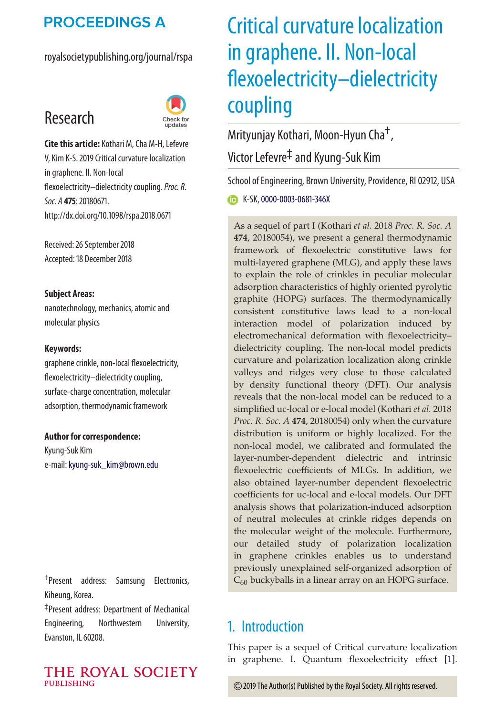## **PROCEEDINGS A**

royalsocietypublishing.org/journal/rspa

# Research



**Cite this article:** Kothari M, Cha M-H, Lefevre V, Kim K-S. 2019 Critical curvature localization in graphene. II. Non-local flexoelectricity–dielectricity coupling.*Proc. R. Soc. A* **475**: 20180671. http://dx.doi.org/10.1098/rspa.2018.0671

Received: 26 September 2018 Accepted: 18 December 2018

#### **Subject Areas:**

nanotechnology, mechanics, atomic and molecular physics

#### **Keywords:**

graphene crinkle, non-local flexoelectricity, flexoelectricity–dielectricity coupling, surface-charge concentration, molecular adsorption, thermodynamic framework

#### **Author for correspondence:**

Kyung-Suk Kim e-mail:[kyung-suk\\_kim@brown.edu](mailto:kyung-suk_kim@brown.edu)

†Present address: Samsung Electronics, Kiheung, Korea.

‡Present address: Department of Mechanical Engineering, Northwestern University, Evanston, IL 60208.

#### THE ROYAL SOCIETY **PUBLISHING**

# Critical curvature localization in graphene. II. Non-local flexoelectricity–dielectricity coupling

Mrityunjay Kothari, Moon-Hyun Cha†,

Victor Lefevre‡ and Kyung-Suk Kim

School of Engineering, Brown University, Providence, RI 02912, USA

**K-SK,[0000-0003-0681-346X](http://orcid.org/0000-0003-0681-346X)** 

As a sequel of part I (Kothari *et al.* 2018 *Proc. R. Soc. A* **474**, 20180054), we present a general thermodynamic framework of flexoelectric constitutive laws for multi-layered graphene (MLG), and apply these laws to explain the role of crinkles in peculiar molecular adsorption characteristics of highly oriented pyrolytic graphite (HOPG) surfaces. The thermodynamically consistent constitutive laws lead to a non-local interaction model of polarization induced by electromechanical deformation with flexoelectricity– dielectricity coupling. The non-local model predicts curvature and polarization localization along crinkle valleys and ridges very close to those calculated by density functional theory (DFT). Our analysis reveals that the non-local model can be reduced to a simplified uc-local or e-local model (Kothari *et al.* 2018 *Proc. R. Soc. A* **474**, 20180054) only when the curvature distribution is uniform or highly localized. For the non-local model, we calibrated and formulated the layer-number-dependent dielectric and intrinsic flexoelectric coefficients of MLGs. In addition, we also obtained layer-number dependent flexoelectric coefficients for uc-local and e-local models. Our DFT analysis shows that polarization-induced adsorption of neutral molecules at crinkle ridges depends on the molecular weight of the molecule. Furthermore, our detailed study of polarization localization in graphene crinkles enables us to understand previously unexplained self-organized adsorption of  $C_{60}$  buckyballs in a linear array on an HOPG surface.

## 1. Introduction

This paper is a sequel of Critical curvature localization in graphene. I. Quantum flexoelectricity effect [\[1\]](#page-12-0).

2019 The Author(s) Published by the Royal Society. All rights reserved.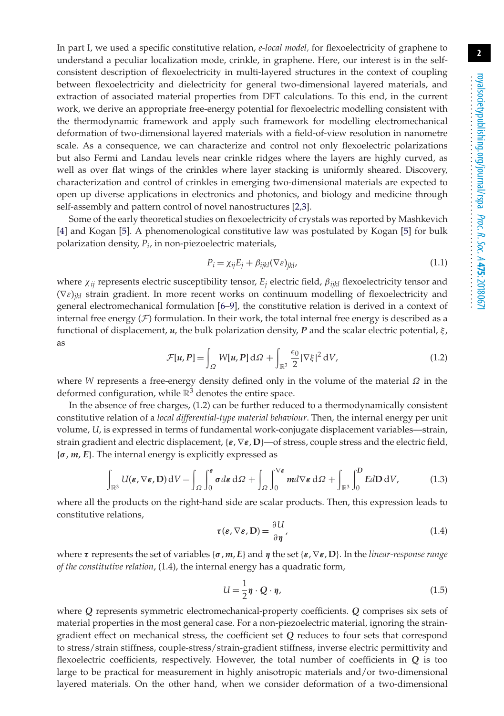In part I, we used a specific constitutive relation, *e-local model,* for flexoelectricity of graphene to understand a peculiar localization mode, crinkle, in graphene. Here, our interest is in the selfconsistent description of flexoelectricity in multi-layered structures in the context of coupling between flexoelectricity and dielectricity for general two-dimensional layered materials, and extraction of associated material properties from DFT calculations. To this end, in the current work, we derive an appropriate free-energy potential for flexoelectric modelling consistent with the thermodynamic framework and apply such framework for modelling electromechanical deformation of two-dimensional layered materials with a field-of-view resolution in nanometre scale. As a consequence, we can characterize and control not only flexoelectric polarizations but also Fermi and Landau levels near crinkle ridges where the layers are highly curved, as well as over flat wings of the crinkles where layer stacking is uniformly sheared. Discovery, characterization and control of crinkles in emerging two-dimensional materials are expected to open up diverse applications in electronics and photonics, and biology and medicine through self-assembly and pattern control of novel nanostructures [\[2,](#page-13-0)[3\]](#page-13-1).

Some of the early theoretical studies on flexoelectricity of crystals was reported by Mashkevich [\[4\]](#page-13-2) and Kogan [\[5\]](#page-13-3). A phenomenological constitutive law was postulated by Kogan [\[5\]](#page-13-3) for bulk polarization density, *Pi*, in non-piezoelectric materials,

$$
P_i = \chi_{ij} E_j + \beta_{ijkl} (\nabla \varepsilon)_{jkl},
$$
\n(1.1)

where χ*ij* represents electric susceptibility tensor, *Ej* electric field, β*ijkl* flexoelectricity tensor and (∇ε)*jkl* strain gradient. In more recent works on continuum modelling of flexoelectricity and general electromechanical formulation [\[6](#page-13-4)[–9\]](#page-13-5), the constitutive relation is derived in a context of internal free energy  $(F)$  formulation. In their work, the total internal free energy is described as a functional of displacement,  $u$ , the bulk polarization density,  $P$  and the scalar electric potential,  $\xi$ , as

$$
\mathcal{F}[u, P] = \int_{\Omega} W[u, P] d\Omega + \int_{\mathbb{R}^3} \frac{\epsilon_0}{2} |\nabla \xi|^2 dV, \qquad (1.2)
$$

where *W* represents a free-energy density defined only in the volume of the material  $\Omega$  in the deformed configuration, while  $\mathbb{R}^3$  denotes the entire space.

In the absence of free charges, (1.2) can be further reduced to a thermodynamically consistent constitutive relation of a *local differential-type material behaviour*. Then, the internal energy per unit volume, *U*, is expressed in terms of fundamental work-conjugate displacement variables—strain, strain gradient and electric displacement, {*ε*, ∇*ε*, **D**}—of stress, couple stress and the electric field, {*σ*, *m*, *E*}. The internal energy is explicitly expressed as

$$
\int_{\mathbb{R}^3} U(\boldsymbol{\varepsilon}, \nabla \boldsymbol{\varepsilon}, \mathbf{D}) \, dV = \int_{\Omega} \int_0^{\boldsymbol{\varepsilon}} \boldsymbol{\sigma} d\boldsymbol{\varepsilon} \, d\Omega + \int_{\Omega} \int_0^{\nabla \boldsymbol{\varepsilon}} m d \nabla \boldsymbol{\varepsilon} \, d\Omega + \int_{\mathbb{R}^3} \int_0^{\mathbf{D}} E d\mathbf{D} \, dV, \tag{1.3}
$$

where all the products on the right-hand side are scalar products. Then, this expression leads to constitutive relations,

$$
\tau(\varepsilon, \nabla \varepsilon, \mathbf{D}) = \frac{\partial U}{\partial \eta},\tag{1.4}
$$

where *τ* represents the set of variables {*σ*, *m*, *E*} and *η* the set {*ε*, ∇*ε*, **D**}. In the *linear-response range of the constitutive relation*, (1.4), the internal energy has a quadratic form,

$$
U = \frac{1}{2}\eta \cdot Q \cdot \eta,\tag{1.5}
$$

where *Q* represents symmetric electromechanical-property coefficients. *Q* comprises six sets of material properties in the most general case. For a non-piezoelectric material, ignoring the straingradient effect on mechanical stress, the coefficient set *Q* reduces to four sets that correspond to stress/strain stiffness, couple-stress/strain-gradient stiffness, inverse electric permittivity and flexoelectric coefficients, respectively. However, the total number of coefficients in *Q* is too large to be practical for measurement in highly anisotropic materials and/or two-dimensional layered materials. On the other hand, when we consider deformation of a two-dimensional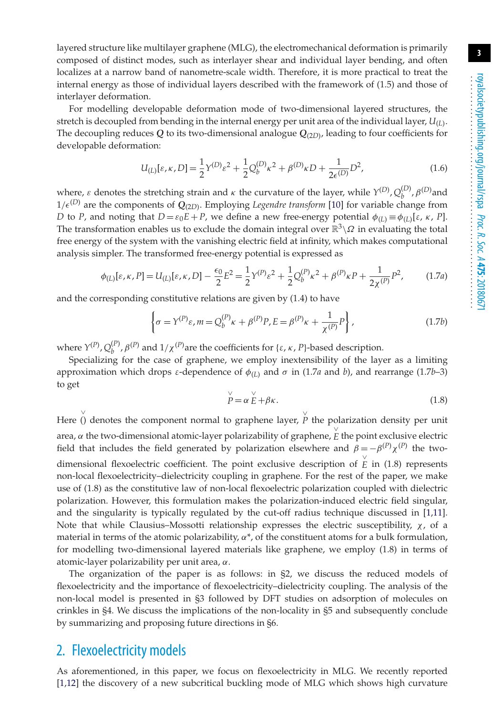layered structure like multilayer graphene (MLG), the electromechanical deformation is primarily composed of distinct modes, such as interlayer shear and individual layer bending, and often localizes at a narrow band of nanometre-scale width. Therefore, it is more practical to treat the internal energy as those of individual layers described with the framework of (1.5) and those of interlayer deformation.

For modelling developable deformation mode of two-dimensional layered structures, the stretch is decoupled from bending in the internal energy per unit area of the individual layer, *U*(*<sup>L</sup>*). The decoupling reduces  $Q$  to its two-dimensional analogue  $Q_{(2D)}$ , leading to four coefficients for developable deformation:

$$
U_{(L)}[\varepsilon, \kappa, D] = \frac{1}{2} \gamma^{(D)} \varepsilon^2 + \frac{1}{2} Q_b^{(D)} \kappa^2 + \beta^{(D)} \kappa D + \frac{1}{2\epsilon^{(D)}} D^2,
$$
\n(1.6)

where,  $\varepsilon$  denotes the stretching strain and  $\kappa$  the curvature of the layer, while  $\gamma^{(D)}$ ,  $Q_b^{(D)}$ ,  $\beta^{(D)}$  and  $1/\epsilon^{(D)}$  are the components of  $Q_{(2D)}$ . Employing *Legendre transform* [\[10\]](#page-13-6) for variable change from *D* to *P*, and noting that  $D = \varepsilon_0 E + P$ , we define a new free-energy potential  $\phi_{(L)} \equiv \phi_{(L)}[\varepsilon, \kappa, P]$ . The transformation enables us to exclude the domain integral over  $\mathbb{R}^3\setminus\Omega$  in evaluating the total free energy of the system with the vanishing electric field at infinity, which makes computational analysis simpler. The transformed free-energy potential is expressed as

$$
\phi_{(L)}[\varepsilon, \kappa, P] = U_{(L)}[\varepsilon, \kappa, D] - \frac{\epsilon_0}{2} E^2 = \frac{1}{2} \gamma^{(P)} \varepsilon^2 + \frac{1}{2} Q_b^{(P)} \kappa^2 + \beta^{(P)} \kappa P + \frac{1}{2 \chi^{(P)}} P^2, \tag{1.7a}
$$

and the corresponding constitutive relations are given by (1.4) to have

$$
\left\{\sigma = \Upsilon^{(P)}\varepsilon, m = Q_b^{(P)}\kappa + \beta^{(P)}P, E = \beta^{(P)}\kappa + \frac{1}{\chi^{(P)}}P\right\},\tag{1.7b}
$$

where  $Y^{(P)}$ ,  $Q_b^{(P)}$ ,  $\beta^{(P)}$  and  $1/\chi^{(P)}$  are the coefficients for { $\varepsilon$ ,  $\kappa$ ,  $P$ }-based description.

Specializing for the case of graphene, we employ inextensibility of the layer as a limiting approximation which drops ε-dependence of  $φ_{(L)}$  and  $σ$  in (1.7*a* and *b*), and rearrange (1.7*b*–3) to get

$$
\stackrel{\vee}{P} = \alpha \stackrel{\vee}{E} + \beta \kappa. \tag{1.8}
$$

Here () denotes the component normal to graphene layer,  $\stackrel{\vee}{P}$  the polarization density per unit area,  $\alpha$  the two-dimensional atomic-layer polarizability of graphene,  $\stackrel{\vee}{E}$  the point exclusive electric field that includes the field generated by polarization elsewhere and  $β = -β<sup>(P)</sup>χ<sup>(P)</sup>$  the twodimensional flexoelectric coefficient. The point exclusive description of  $\stackrel{\vee}{E}$  in (1.8) represents non-local flexoelectricity–dielectricity coupling in graphene. For the rest of the paper, we make use of (1.8) as the constitutive law of non-local flexoelectric polarization coupled with dielectric polarization. However, this formulation makes the polarization-induced electric field singular, and the singularity is typically regulated by the cut-off radius technique discussed in [\[1,](#page-12-0)[11\]](#page-13-7). Note that while Clausius–Mossotti relationship expresses the electric susceptibility,  $\chi$ , of a material in terms of the atomic polarizability,  $\alpha^*$ , of the constituent atoms for a bulk formulation, for modelling two-dimensional layered materials like graphene, we employ (1.8) in terms of atomic-layer polarizability per unit area, α.

The organization of the paper is as follows: in §2, we discuss the reduced models of flexoelectricity and the importance of flexoelectricity–dielectricity coupling. The analysis of the non-local model is presented in §3 followed by DFT studies on adsorption of molecules on crinkles in §4. We discuss the implications of the non-locality in §5 and subsequently conclude by summarizing and proposing future directions in §6.

## 2. Flexoelectricity models

As aforementioned, in this paper, we focus on flexoelectricity in MLG. We recently reported [\[1](#page-12-0)[,12\]](#page-13-8) the discovery of a new subcritical buckling mode of MLG which shows high curvature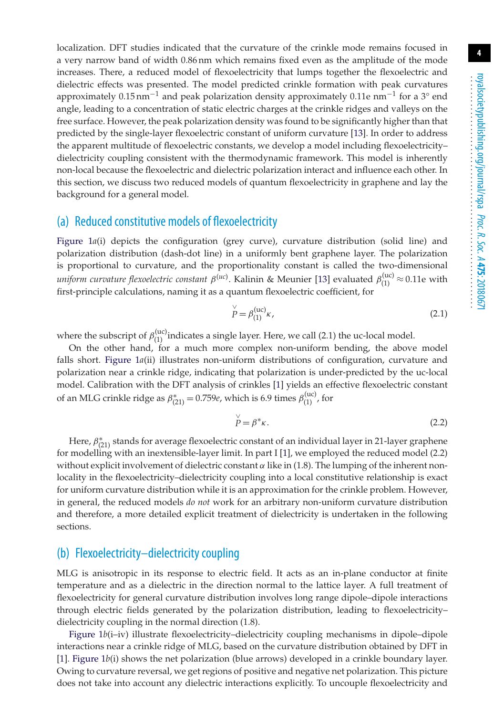localization. DFT studies indicated that the curvature of the crinkle mode remains focused in a very narrow band of width 0.86 nm which remains fixed even as the amplitude of the mode increases. There, a reduced model of flexoelectricity that lumps together the flexoelectric and dielectric effects was presented. The model predicted crinkle formation with peak curvatures approximately 0.15 nm<sup>-1</sup> and peak polarization density approximately 0.11e nm<sup>-1</sup> for a 3<sup>°</sup> end angle, leading to a concentration of static electric charges at the crinkle ridges and valleys on the free surface. However, the peak polarization density was found to be significantly higher than that predicted by the single-layer flexoelectric constant of uniform curvature [\[13\]](#page-13-9). In order to address the apparent multitude of flexoelectric constants, we develop a model including flexoelectricity– dielectricity coupling consistent with the thermodynamic framework. This model is inherently non-local because the flexoelectric and dielectric polarization interact and influence each other. In this section, we discuss two reduced models of quantum flexoelectricity in graphene and lay the background for a general model.

#### (a) Reduced constitutive models of flexoelectricity

[Figure 1](#page-4-0)*a*(i) depicts the configuration (grey curve), curvature distribution (solid line) and polarization distribution (dash-dot line) in a uniformly bent graphene layer. The polarization is proportional to curvature, and the proportionality constant is called the two-dimensional *uniform curvature flexoelectric constant*  $\beta^{(uc)}$ . Kalinin & Meunier [\[13\]](#page-13-9) evaluated  $\beta_{(1)}^{(uc)} \approx 0.11$ e with first-principle calculations, naming it as a quantum flexoelectric coefficient, for

$$
\stackrel{\vee}{P} = \beta_{(1)}^{(uc)} \kappa, \tag{2.1}
$$

where the subscript of  $\beta_{(1)}^{(uc)}$  indicates a single layer. Here, we call (2.1) the uc-local model.

On the other hand, for a much more complex non-uniform bending, the above model falls short. [Figure 1](#page-4-0)*a*(ii) illustrates non-uniform distributions of configuration, curvature and polarization near a crinkle ridge, indicating that polarization is under-predicted by the uc-local model. Calibration with the DFT analysis of crinkles [\[1\]](#page-12-0) yields an effective flexoelectric constant of an MLG crinkle ridge as  $\beta^*_{(21)} = 0.759e$ , which is 6.9 times  $\beta^{(uc)}_{(1)}$ , for

$$
\stackrel{\vee}{P} = \beta^* \kappa. \tag{2.2}
$$

Here,  $\beta^*_{(21)}$  stands for average flexoelectric constant of an individual layer in 21-layer graphene for modelling with an inextensible-layer limit. In part I [\[1\]](#page-12-0), we employed the reduced model (2.2) without explicit involvement of dielectric constant  $\alpha$  like in (1.8). The lumping of the inherent nonlocality in the flexoelectricity–dielectricity coupling into a local constitutive relationship is exact for uniform curvature distribution while it is an approximation for the crinkle problem. However, in general, the reduced models *do not* work for an arbitrary non-uniform curvature distribution and therefore, a more detailed explicit treatment of dielectricity is undertaken in the following sections.

#### (b) Flexoelectricity–dielectricity coupling

MLG is anisotropic in its response to electric field. It acts as an in-plane conductor at finite temperature and as a dielectric in the direction normal to the lattice layer. A full treatment of flexoelectricity for general curvature distribution involves long range dipole–dipole interactions through electric fields generated by the polarization distribution, leading to flexoelectricity– dielectricity coupling in the normal direction (1.8).

[Figure 1](#page-4-0)*b*(i-iv) illustrate flexoelectricity-dielectricity coupling mechanisms in dipole-dipole interactions near a crinkle ridge of MLG, based on the curvature distribution obtained by DFT in [\[1\]](#page-12-0). [Figure 1](#page-4-0)*b*(i) shows the net polarization (blue arrows) developed in a crinkle boundary layer. Owing to curvature reversal, we get regions of positive and negative net polarization. This picture does not take into account any dielectric interactions explicitly. To uncouple flexoelectricity and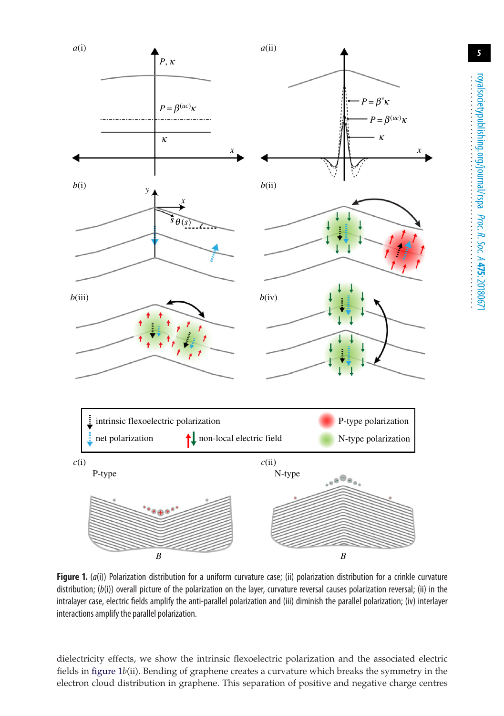<span id="page-4-0"></span>

**Figure 1.** (*a*(i)) Polarization distribution for a uniform curvature case; (ii) polarization distribution for a crinkle curvature distribution; (*b*(i)) overall picture of the polarization on the layer, curvature reversal causes polarization reversal; (ii) in the intralayer case, electric fields amplify the anti-parallel polarization and (iii) diminish the parallel polarization; (iv) interlayer interactions amplify the parallel polarization.

dielectricity effects, we show the intrinsic flexoelectric polarization and the associated electric fields in [figure 1](#page-4-0)*b*(ii). Bending of graphene creates a curvature which breaks the symmetry in the electron cloud distribution in graphene. This separation of positive and negative charge centres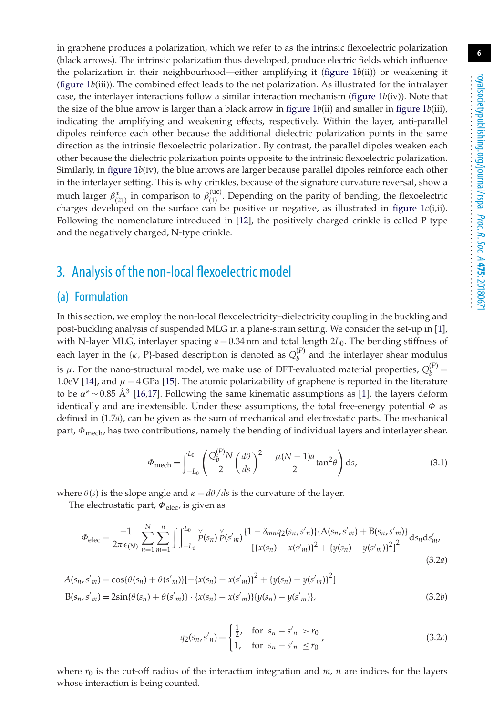in graphene produces a polarization, which we refer to as the intrinsic flexoelectric polarization (black arrows). The intrinsic polarization thus developed, produce electric fields which influence the polarization in their neighbourhood—either amplifying it [\(figure 1](#page-4-0)*b*(ii)) or weakening it [\(figure 1](#page-4-0)*b*(iii)). The combined effect leads to the net polarization. As illustrated for the intralayer case, the interlayer interactions follow a similar interaction mechanism [\(figure 1](#page-4-0)*b*(iv)). Note that the size of the blue arrow is larger than a black arrow in figure  $1b(ii)$  and smaller in figure  $1b(iii)$ , indicating the amplifying and weakening effects, respectively. Within the layer, anti-parallel dipoles reinforce each other because the additional dielectric polarization points in the same direction as the intrinsic flexoelectric polarization. By contrast, the parallel dipoles weaken each other because the dielectric polarization points opposite to the intrinsic flexoelectric polarization. Similarly, in [figure 1](#page-4-0)*b*(iv), the blue arrows are larger because parallel dipoles reinforce each other in the interlayer setting. This is why crinkles, because of the signature curvature reversal, show a much larger  $\beta^*_{(21)}$  in comparison to  $\beta^{(uc)}_{(1)}$ . Depending on the parity of bending, the flexoelectric charges developed on the surface can be positive or negative, as illustrated in [figure 1](#page-4-0)*c*(i,ii). Following the nomenclature introduced in [\[12\]](#page-13-8), the positively charged crinkle is called P-type and the negatively charged, N-type crinkle.

## 3. Analysis of the non-local flexoelectric model

## (a) Formulation

In this section, we employ the non-local flexoelectricity–dielectricity coupling in the buckling and post-buckling analysis of suspended MLG in a plane-strain setting. We consider the set-up in [\[1\]](#page-12-0), with N-layer MLG, interlayer spacing  $a = 0.34$  nm and total length  $2L_0$ . The bending stiffness of each layer in the  $\{\kappa, P\}$ -based description is denoted as  $Q_b^{(P)}$  and the interlayer shear modulus is  $\mu$ . For the nano-structural model, we make use of DFT-evaluated material properties,  $Q_b^{(P)}$  = 1.0eV [\[14\]](#page-13-10), and  $\mu = 4$  GPa [\[15\]](#page-13-11). The atomic polarizability of graphene is reported in the literature to be  $\alpha^*$ ∼0.85 Å<sup>3</sup> [\[16](#page-13-12)[,17\]](#page-13-13). Following the same kinematic assumptions as [\[1\]](#page-12-0), the layers deform identically and are inextensible. Under these assumptions, the total free-energy potential  $\Phi$  as defined in (1.7*a*), can be given as the sum of mechanical and electrostatic parts. The mechanical part,  $\Phi_{\text{mech}}$ , has two contributions, namely the bending of individual layers and interlayer shear.

$$
\Phi_{\text{mech}} = \int_{-L_0}^{L_0} \left( \frac{Q_b^{(P)} N}{2} \left( \frac{d\theta}{ds} \right)^2 + \frac{\mu (N - 1)a}{2} \tan^2 \theta \right) ds,\tag{3.1}
$$

where  $\theta(s)$  is the slope angle and  $\kappa = d\theta/ds$  is the curvature of the layer.

The electrostatic part,  $\Phi_{\text{elec}}$ , is given as

$$
\Phi_{\text{elec}} = \frac{-1}{2\pi\epsilon_{(N)}} \sum_{n=1}^{N} \sum_{m=1}^{n} \int \int_{-L_0}^{L_0} \sum_{i=1}^{N} \sum_{j=1}^{N} \left[ \frac{(1 - \delta_{mn} q_2(s_n, s'_n))}{[(x(s_n) - x(s'_m))^2 + (y(s_n) - y(s'_m))^2]^2} ds_n ds'_m \right]
$$
\n(3.2a)

$$
A(s_n, s'_m) = \cos{\{\theta(s_n) + \theta(s'_m)\}} [-\{x(s_n) - x(s'_m)\}^2 + \{y(s_n) - y(s'_m)\}^2]
$$
  
\n
$$
B(s_n, s'_m) = 2\sin{\{\theta(s_n) + \theta(s'_m)\}} \cdot \{x(s_n) - x(s'_m)\}\{y(s_n) - y(s'_m)\},
$$
\n(3.2b)

$$
q_2(s_n, s'_n) = \begin{cases} \frac{1}{2}, & \text{for } |s_n - s'_n| > r_0 \\ 1, & \text{for } |s_n - s'_n| \le r_0 \end{cases}
$$
 (3.2c)

where  $r_0$  is the cut-off radius of the interaction integration and  $m$ ,  $n$  are indices for the layers whose interaction is being counted.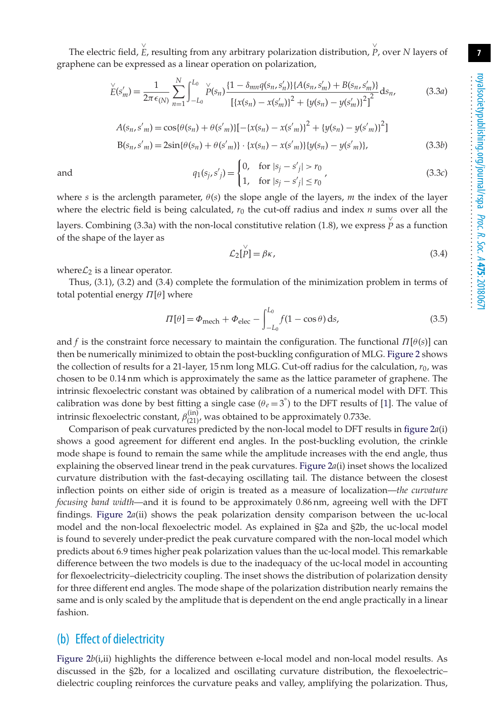The electric field, E<sup>√</sup>, resulting from any arbitrary polarization distribution, P<sup>√</sup>, over *N* layers of graphene can be expressed as a linear operation on polarization,

$$
\check{E}(s'_m) = \frac{1}{2\pi\epsilon_{(N)}} \sum_{n=1}^N \int_{-L_0}^{L_0} \check{P}(s_n) \frac{\{1 - \delta_{mn}q(s_n, s'_n)\}\{A(s_n, s'_m) + B(s_n, s'_m)\}}{\left[\{x(s_n) - x(s'_m)\}^2 + \{y(s_n) - y(s'_m)\}^2\right]^2} ds_n,\tag{3.3a}
$$

$$
A(s_n, s'_m) = \cos{\{\theta(s_n) + \theta(s'_m)\}}[-\{x(s_n) - x(s'_m)\}^2 + \{y(s_n) - y(s'_m)\}^2]
$$
  
\n
$$
B(s_n, s'_m) = 2\sin{\{\theta(s_n) + \theta(s'_m)\}} \cdot \{x(s_n) - x(s'_m)\}\{y(s_n) - y(s'_m)\},
$$
\n(3.3b)

and 
$$
q_1(s_j, s'_j) = \begin{cases} 0, & \text{for } |s_j - s'_j| > r_0 \\ 1, & \text{for } |s_j - s'_j| \le r_0 \end{cases}
$$
 (3.3c)

where *s* is the arclength parameter,  $\theta(s)$  the slope angle of the layers, *m* the index of the layer where the electric field is being calculated,  $r_0$  the cut-off radius and index  $n$  sums over all the layers. Combining (3.3a) with the non-local constitutive relation (1.8), we express  $\stackrel{\vee}{P}$  as a function of the shape of the layer as

$$
\mathcal{L}_2[\check{P}] = \beta \kappa,\tag{3.4}
$$

where $\mathcal{L}_2$  is a linear operator.

Thus, (3.1), (3.2) and (3.4) complete the formulation of the minimization problem in terms of total potential energy  $\Pi[\theta]$  where

$$
\Pi[\theta] = \Phi_{\text{mech}} + \Phi_{\text{elec}} - \int_{-L_0}^{L_0} f(1 - \cos \theta) \, \mathrm{d}s,\tag{3.5}
$$

and *f* is the constraint force necessary to maintain the configuration. The functional  $\Pi[\theta(s)]$  can then be numerically minimized to obtain the post-buckling configuration of MLG. [Figure 2](#page-7-0) shows the collection of results for a 21-layer, 15 nm long MLG. Cut-off radius for the calculation, *r*0, was chosen to be 0.14 nm which is approximately the same as the lattice parameter of graphene. The intrinsic flexoelectric constant was obtained by calibration of a numerical model with DFT. This calibration was done by best fitting a single case ( $\theta_e = 3^\circ$ ) to the DFT results of [\[1\]](#page-12-0). The value of intrinsic flexoelectric constant,  $\beta_{(21)}^{(in)}$ , was obtained to be approximately 0.733e.

Comparison of peak curvatures predicted by the non-local model to DFT results in [figure 2](#page-7-0)*a*(i) shows a good agreement for different end angles. In the post-buckling evolution, the crinkle mode shape is found to remain the same while the amplitude increases with the end angle, thus explaining the observed linear trend in the peak curvatures. [Figure 2](#page-7-0)*a*(i) inset shows the localized curvature distribution with the fast-decaying oscillating tail. The distance between the closest inflection points on either side of origin is treated as a measure of localization—*the curvature focusing band width*—and it is found to be approximately 0.86 nm, agreeing well with the DFT findings. [Figure 2](#page-7-0)*a*(ii) shows the peak polarization density comparison between the uc-local model and the non-local flexoelectric model. As explained in §2a and §2b, the uc-local model is found to severely under-predict the peak curvature compared with the non-local model which predicts about 6.9 times higher peak polarization values than the uc-local model. This remarkable difference between the two models is due to the inadequacy of the uc-local model in accounting for flexoelectricity–dielectricity coupling. The inset shows the distribution of polarization density for three different end angles. The mode shape of the polarization distribution nearly remains the same and is only scaled by the amplitude that is dependent on the end angle practically in a linear fashion.

#### (b) Effect of dielectricity

[Figure 2](#page-7-0)*b*(i,ii) highlights the difference between e-local model and non-local model results. As discussed in the §2b, for a localized and oscillating curvature distribution, the flexoelectric– dielectric coupling reinforces the curvature peaks and valley, amplifying the polarization. Thus,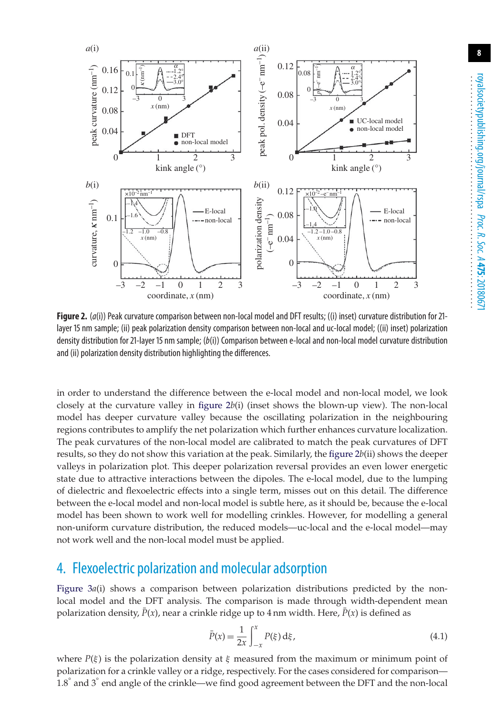<span id="page-7-0"></span>

**Figure 2.** (*a*(i)) Peak curvature comparison between non-local model and DFT results; ((i) inset) curvature distribution for 21 layer 15 nm sample; (ii) peak polarization density comparison between non-local and uc-local model; ((ii) inset) polarization density distribution for 21-layer 15 nm sample; (*b*(i)) Comparison between e-local and non-local model curvature distribution and (ii) polarization density distribution highlighting the differences.

in order to understand the difference between the e-local model and non-local model, we look closely at the curvature valley in [figure 2](#page-7-0)*b*(i) (inset shows the blown-up view). The non-local model has deeper curvature valley because the oscillating polarization in the neighbouring regions contributes to amplify the net polarization which further enhances curvature localization. The peak curvatures of the non-local model are calibrated to match the peak curvatures of DFT results, so they do not show this variation at the peak. Similarly, the [figure 2](#page-7-0)*b*(ii) shows the deeper valleys in polarization plot. This deeper polarization reversal provides an even lower energetic state due to attractive interactions between the dipoles. The e-local model, due to the lumping of dielectric and flexoelectric effects into a single term, misses out on this detail. The difference between the e-local model and non-local model is subtle here, as it should be, because the e-local model has been shown to work well for modelling crinkles. However, for modelling a general non-uniform curvature distribution, the reduced models—uc-local and the e-local model—may not work well and the non-local model must be applied.

## 4. Flexoelectric polarization and molecular adsorption

[Figure 3](#page-8-0)a(i) shows a comparison between polarization distributions predicted by the nonlocal model and the DFT analysis. The comparison is made through width-dependent mean polarization density,  $\bar{P}(x)$ , near a crinkle ridge up to 4 nm width. Here,  $\bar{P}(x)$  is defined as

$$
\bar{P}(x) = \frac{1}{2x} \int_{-x}^{x} P(\xi) \, \mathrm{d}\xi,\tag{4.1}
$$

where  $P(\xi)$  is the polarization density at  $\xi$  measured from the maximum or minimum point of polarization for a crinkle valley or a ridge, respectively. For the cases considered for comparison— 1.8° and 3° end angle of the crinkle—we find good agreement between the DFT and the non-local **8**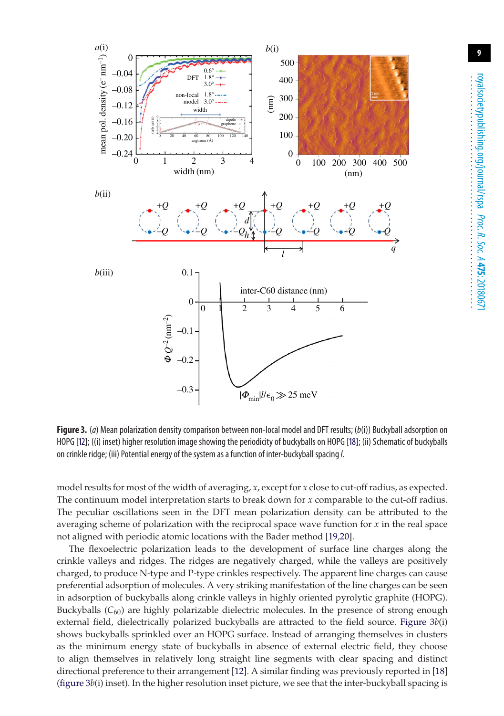<span id="page-8-0"></span>

**Figure 3.** (*a*) Mean polarization density comparison between non-local model and DFT results; (*b*(i)) Buckyball adsorption on HOPG [\[12\]](#page-13-8); ((i) inset) higher resolution image showing the periodicity of buckyballs on HOPG [\[18\]](#page-13-14); (ii) Schematic of buckyballs on crinkle ridge; (iii) Potential energy of the system as a function of inter-buckyball spacing*l*.

model results for most of the width of averaging, *x*, except for *x* close to cut-off radius, as expected. The continuum model interpretation starts to break down for *x* comparable to the cut-off radius. The peculiar oscillations seen in the DFT mean polarization density can be attributed to the averaging scheme of polarization with the reciprocal space wave function for *x* in the real space not aligned with periodic atomic locations with the Bader method [\[19,](#page-13-15)[20\]](#page-13-16).

The flexoelectric polarization leads to the development of surface line charges along the crinkle valleys and ridges. The ridges are negatively charged, while the valleys are positively charged, to produce N-type and P-type crinkles respectively. The apparent line charges can cause preferential adsorption of molecules. A very striking manifestation of the line charges can be seen in adsorption of buckyballs along crinkle valleys in highly oriented pyrolytic graphite (HOPG). Buckyballs (*C*60) are highly polarizable dielectric molecules. In the presence of strong enough external field, dielectrically polarized buckyballs are attracted to the field source. [Figure 3](#page-8-0)*b*(i) shows buckyballs sprinkled over an HOPG surface. Instead of arranging themselves in clusters as the minimum energy state of buckyballs in absence of external electric field, they choose to align themselves in relatively long straight line segments with clear spacing and distinct directional preference to their arrangement [\[12\]](#page-13-8). A similar finding was previously reported in [\[18\]](#page-13-14) [\(figure 3](#page-8-0)*b*(i) inset). In the higher resolution inset picture, we see that the inter-buckyball spacing is **9**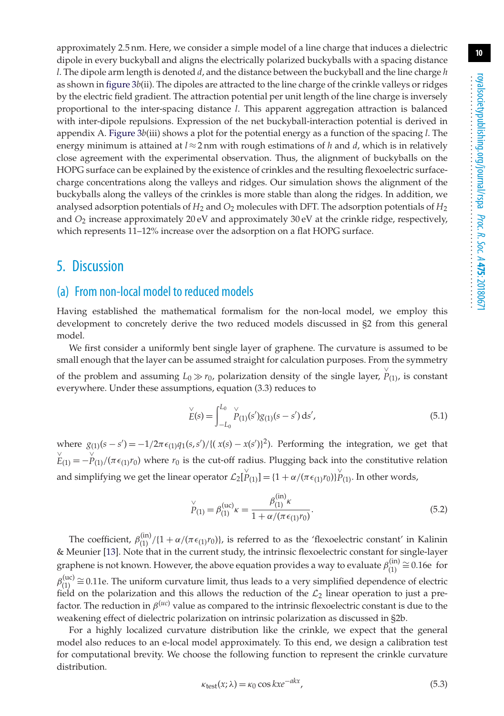approximately 2.5 nm. Here, we consider a simple model of a line charge that induces a dielectric dipole in every buckyball and aligns the electrically polarized buckyballs with a spacing distance *l*. The dipole arm length is denoted *d*, and the distance between the buckyball and the line charge *h* as shown in [figure 3](#page-8-0)*b*(ii). The dipoles are attracted to the line charge of the crinkle valleys or ridges by the electric field gradient. The attraction potential per unit length of the line charge is inversely proportional to the inter-spacing distance *l*. This apparent aggregation attraction is balanced with inter-dipole repulsions. Expression of the net buckyball-interaction potential is derived in appendix A. [Figure 3](#page-8-0)*b*(iii) shows a plot for the potential energy as a function of the spacing *l*. The energy minimum is attained at  $l \approx 2$  nm with rough estimations of *h* and *d*, which is in relatively close agreement with the experimental observation. Thus, the alignment of buckyballs on the HOPG surface can be explained by the existence of crinkles and the resulting flexoelectric surfacecharge concentrations along the valleys and ridges. Our simulation shows the alignment of the buckyballs along the valleys of the crinkles is more stable than along the ridges. In addition, we analysed adsorption potentials of *H*<sup>2</sup> and *O*<sup>2</sup> molecules with DFT. The adsorption potentials of *H*<sup>2</sup> and *O*<sup>2</sup> increase approximately 20 eV and approximately 30 eV at the crinkle ridge, respectively, which represents 11–12% increase over the adsorption on a flat HOPG surface.

## 5. Discussion

#### (a) From non-local model to reduced models

Having established the mathematical formalism for the non-local model, we employ this development to concretely derive the two reduced models discussed in §2 from this general model.

We first consider a uniformly bent single layer of graphene. The curvature is assumed to be small enough that the layer can be assumed straight for calculation purposes. From the symmetry of the problem and assuming  $L_0 \gg r_0$ , polarization density of the single layer,  $\stackrel{\vee}{P}_{(1)}$ , is constant everywhere. Under these assumptions, equation (3.3) reduces to

$$
\check{E}(s) = \int_{-L_0}^{L_0} \check{P}_{(1)}(s') g_{(1)}(s - s') \, ds',\tag{5.1}
$$

where  $g_{(1)}(s - s') = -1/2\pi \epsilon_{(1)}q_1(s, s') / \{(x(s) - x(s')\}^2)$ . Performing the integration, we get that  $\stackrel{\vee}{E}_{(1)} = -\stackrel{\vee}{P}_{(1)}/(\pi \epsilon_{(1)} r_0)$  where  $r_0$  is the cut-off radius. Plugging back into the constitutive relation and simplifying we get the linear operator  $\mathcal{L}_2[\stackrel{V}{P}_{(1)}] = \{1 + \alpha/(\pi \epsilon_{(1)} r_0)\}_{P(1)}^{\vee}$ . In other words,

$$
\stackrel{\vee}{P}_{(1)} = \beta_{(1)}^{(\text{uc})}\kappa = \frac{\beta_{(1)}^{(\text{in})}\kappa}{1 + \alpha/(\pi\epsilon_{(1)}r_0)}.
$$
\n(5.2)

The coefficient,  $\beta_{(1)}^{(in)}/\{1+\alpha/(\pi\epsilon_{(1)}r_0)\}\)$ , is referred to as the 'flexoelectric constant' in Kalinin & Meunier [\[13\]](#page-13-9). Note that in the current study, the intrinsic flexoelectric constant for single-layer graphene is not known. However, the above equation provides a way to evaluate  $\beta_{(1)}^{(in)} \cong 0.16e$  for  $\beta_{(1)}^{(uc)} \cong 0.11$ e. The uniform curvature limit, thus leads to a very simplified dependence of electric field on the polarization and this allows the reduction of the  $\mathcal{L}_2$  linear operation to just a prefactor. The reduction in  $\beta^{(uc)}$  value as compared to the intrinsic flexoelectric constant is due to the weakening effect of dielectric polarization on intrinsic polarization as discussed in §2b.

For a highly localized curvature distribution like the crinkle, we expect that the general model also reduces to an e-local model approximately. To this end, we design a calibration test for computational brevity. We choose the following function to represent the crinkle curvature distribution.

$$
\kappa_{\text{test}}(x; \lambda) = \kappa_0 \cos kx e^{-akx},\tag{5.3}
$$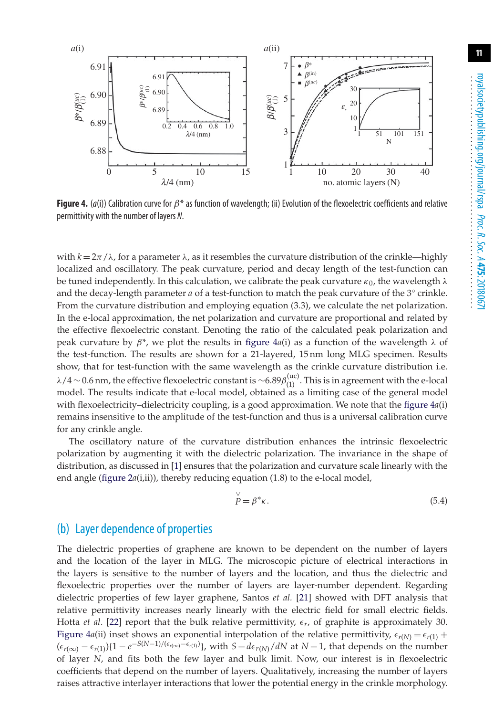<span id="page-10-0"></span>

**Figure 4.** ( $a(i)$ ) Calibration curve for  $\beta^*$  as function of wavelength; (ii) Evolution of the flexoelectric coefficients and relative permittivity with the number of layers *N*.

with  $k = 2\pi / \lambda$ , for a parameter  $\lambda$ , as it resembles the curvature distribution of the crinkle—highly localized and oscillatory. The peak curvature, period and decay length of the test-function can be tuned independently. In this calculation, we calibrate the peak curvature  $\kappa_0$ , the wavelength  $\lambda$ and the decay-length parameter *a* of a test-function to match the peak curvature of the 3° crinkle. From the curvature distribution and employing equation (3.3), we calculate the net polarization. In the e-local approximation, the net polarization and curvature are proportional and related by the effective flexoelectric constant. Denoting the ratio of the calculated peak polarization and peak curvature by  $\beta^*$ , we plot the results in figure  $4a(i)$  as a function of the wavelength  $\lambda$  of the test-function. The results are shown for a 21-layered, 15 nm long MLG specimen. Results show, that for test-function with the same wavelength as the crinkle curvature distribution i.e.  $\lambda/4$  ∼ 0.6 nm, the effective flexoelectric constant is ∼6.89 $\beta_{(1)}^{(uc)}$ . This is in agreement with the e-local model. The results indicate that e-local model, obtained as a limiting case of the general model with flexoelectricity–dielectricity coupling, is a good approximation. We note that the [figure 4](#page-10-0)*a*(i) remains insensitive to the amplitude of the test-function and thus is a universal calibration curve for any crinkle angle.

The oscillatory nature of the curvature distribution enhances the intrinsic flexoelectric polarization by augmenting it with the dielectric polarization. The invariance in the shape of distribution, as discussed in [\[1\]](#page-12-0) ensures that the polarization and curvature scale linearly with the end angle [\(figure 2](#page-7-0)*a*(i,ii)), thereby reducing equation (1.8) to the e-local model,

$$
\stackrel{\vee}{P} = \beta^* \kappa. \tag{5.4}
$$

#### (b) Layer dependence of properties

The dielectric properties of graphene are known to be dependent on the number of layers and the location of the layer in MLG. The microscopic picture of electrical interactions in the layers is sensitive to the number of layers and the location, and thus the dielectric and flexoelectric properties over the number of layers are layer-number dependent. Regarding dielectric properties of few layer graphene, Santos *et al.* [\[21\]](#page-13-17) showed with DFT analysis that relative permittivity increases nearly linearly with the electric field for small electric fields. Hotta *et al*. [\[22\]](#page-13-18) report that the bulk relative permittivity, *r*, of graphite is approximately 30. [Figure 4](#page-10-0)*a*(ii) inset shows an exponential interpolation of the relative permittivity,  $\epsilon_{r(N)} = \epsilon_{r(1)} + \epsilon_{r(N)}$  $(\epsilon_{r(\infty)} - \epsilon_{r(1)})\{1 - e^{-S(N-1)/(\epsilon_{r(\infty)} - \epsilon_{r(1)})}\}\$ , with  $S = d\epsilon_{r(N)}/dN$  at  $N = 1$ , that depends on the number of layer *N*, and fits both the few layer and bulk limit. Now, our interest is in flexoelectric coefficients that depend on the number of layers. Qualitatively, increasing the number of layers raises attractive interlayer interactions that lower the potential energy in the crinkle morphology.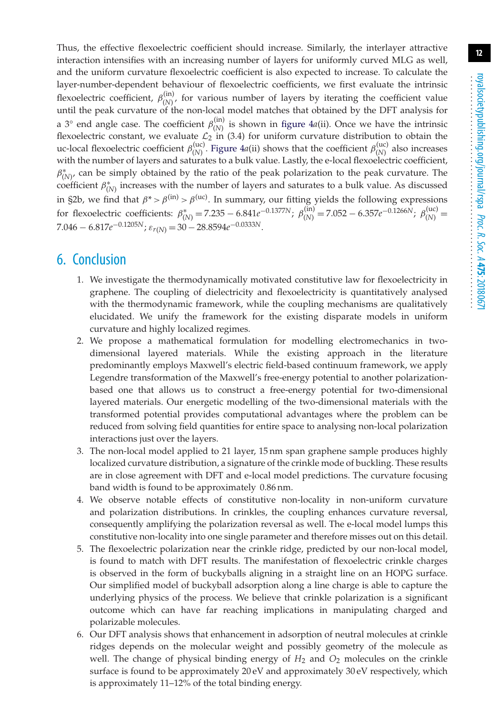Thus, the effective flexoelectric coefficient should increase. Similarly, the interlayer attractive interaction intensifies with an increasing number of layers for uniformly curved MLG as well, and the uniform curvature flexoelectric coefficient is also expected to increase. To calculate the layer-number-dependent behaviour of flexoelectric coefficients, we first evaluate the intrinsic flexoelectric coefficient,  $\beta_{(N)}^{(in)}$ , for various number of layers by iterating the coefficient value until the peak curvature of the non-local model matches that obtained by the DFT analysis for a 3° end angle case. The coefficient  $\beta_{(N)}^{(in)}$  is shown in [figure 4](#page-10-0)*a*(ii). Once we have the intrinsic flexoelectric constant, we evaluate  $\mathcal{L}_2$  in (3.4) for uniform curvature distribution to obtain the uc-local flexoelectric coefficient  $\beta_{(N)}^{(uc)}$ . [Figure 4](#page-10-0)*a*(ii) shows that the coefficient  $\beta_{(N)}^{(uc)}$  also increases with the number of layers and saturates to a bulk value. Lastly, the e-local flexoelectric coefficient,  $β<sup>*</sup><sub>(N)′</sub>$  can be simply obtained by the ratio of the peak polarization to the peak curvature. The coefficient  $\beta^*_{(N)}$  increases with the number of layers and saturates to a bulk value. As discussed in §2b, we find that  $\beta^* > \beta^{(in)} > \beta^{(uc)}$ . In summary, our fitting yields the following expressions for flexoelectric coefficients:  $\beta_{(N)}^* = 7.235 - 6.841e^{-0.1377N}$ ;  $\beta_{(N)}^{(in)} = 7.052 - 6.357e^{-0.1266N}$ ;  $\beta_{(N)}^{(uc)} =$ 7.046 − 6.817*e*−0.1205*N*; ε*r*(*N*) = 30 − 28.8594*e*−0.0333*N*.

## 6. Conclusion

- 1. We investigate the thermodynamically motivated constitutive law for flexoelectricity in graphene. The coupling of dielectricity and flexoelectricity is quantitatively analysed with the thermodynamic framework, while the coupling mechanisms are qualitatively elucidated. We unify the framework for the existing disparate models in uniform curvature and highly localized regimes.
- 2. We propose a mathematical formulation for modelling electromechanics in twodimensional layered materials. While the existing approach in the literature predominantly employs Maxwell's electric field-based continuum framework, we apply Legendre transformation of the Maxwell's free-energy potential to another polarizationbased one that allows us to construct a free-energy potential for two-dimensional layered materials. Our energetic modelling of the two-dimensional materials with the transformed potential provides computational advantages where the problem can be reduced from solving field quantities for entire space to analysing non-local polarization interactions just over the layers.
- 3. The non-local model applied to 21 layer, 15 nm span graphene sample produces highly localized curvature distribution, a signature of the crinkle mode of buckling. These results are in close agreement with DFT and e-local model predictions. The curvature focusing band width is found to be approximately 0.86 nm.
- 4. We observe notable effects of constitutive non-locality in non-uniform curvature and polarization distributions. In crinkles, the coupling enhances curvature reversal, consequently amplifying the polarization reversal as well. The e-local model lumps this constitutive non-locality into one single parameter and therefore misses out on this detail.
- 5. The flexoelectric polarization near the crinkle ridge, predicted by our non-local model, is found to match with DFT results. The manifestation of flexoelectric crinkle charges is observed in the form of buckyballs aligning in a straight line on an HOPG surface. Our simplified model of buckyball adsorption along a line charge is able to capture the underlying physics of the process. We believe that crinkle polarization is a significant outcome which can have far reaching implications in manipulating charged and polarizable molecules.
- 6. Our DFT analysis shows that enhancement in adsorption of neutral molecules at crinkle ridges depends on the molecular weight and possibly geometry of the molecule as well. The change of physical binding energy of  $H_2$  and  $O_2$  molecules on the crinkle surface is found to be approximately 20 eV and approximately 30 eV respectively, which is approximately 11–12% of the total binding energy.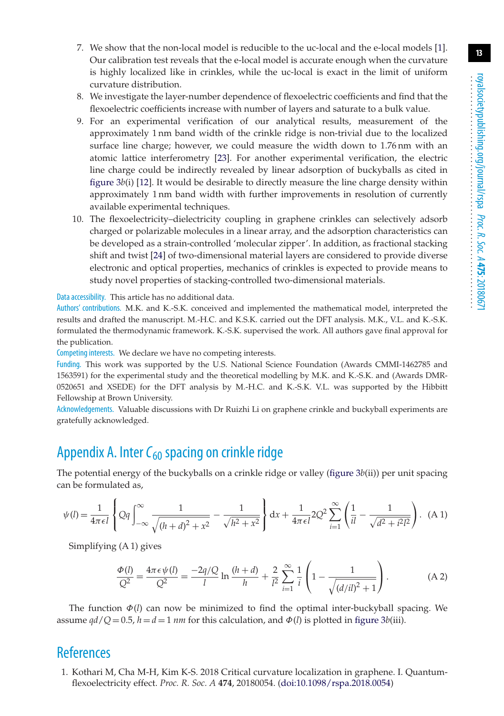- 7. We show that the non-local model is reducible to the uc-local and the e-local models [\[1\]](#page-12-0). Our calibration test reveals that the e-local model is accurate enough when the curvature is highly localized like in crinkles, while the uc-local is exact in the limit of uniform curvature distribution.
- 8. We investigate the layer-number dependence of flexoelectric coefficients and find that the flexoelectric coefficients increase with number of layers and saturate to a bulk value.
- 9. For an experimental verification of our analytical results, measurement of the approximately 1 nm band width of the crinkle ridge is non-trivial due to the localized surface line charge; however, we could measure the width down to 1.76 nm with an atomic lattice interferometry [\[23\]](#page-13-19). For another experimental verification, the electric line charge could be indirectly revealed by linear adsorption of buckyballs as cited in [figure 3](#page-8-0)*b*(i) [\[12\]](#page-13-8). It would be desirable to directly measure the line charge density within approximately 1 nm band width with further improvements in resolution of currently available experimental techniques.
- 10. The flexoelectricity–dielectricity coupling in graphene crinkles can selectively adsorb charged or polarizable molecules in a linear array, and the adsorption characteristics can be developed as a strain-controlled 'molecular zipper'. In addition, as fractional stacking shift and twist [\[24\]](#page-13-20) of two-dimensional material layers are considered to provide diverse electronic and optical properties, mechanics of crinkles is expected to provide means to study novel properties of stacking-controlled two-dimensional materials.

Data accessibility. This article has no additional data.

Authors' contributions. M.K. and K.-S.K. conceived and implemented the mathematical model, interpreted the results and drafted the manuscript. M.-H.C. and K.S.K. carried out the DFT analysis. M.K., V.L. and K.-S.K. formulated the thermodynamic framework. K.-S.K. supervised the work. All authors gave final approval for the publication.

Competing interests. We declare we have no competing interests.

Funding. This work was supported by the U.S. National Science Foundation (Awards CMMI-1462785 and 1563591) for the experimental study and the theoretical modelling by M.K. and K.-S.K. and (Awards DMR-0520651 and XSEDE) for the DFT analysis by M.-H.C. and K.-S.K. V.L. was supported by the Hibbitt Fellowship at Brown University.

Acknowledgements. Valuable discussions with Dr Ruizhi Li on graphene crinkle and buckyball experiments are gratefully acknowledged.

## Appendix A. Inter C<sub>60</sub> spacing on crinkle ridge

The potential energy of the buckyballs on a crinkle ridge or valley (figure  $3b$ (ii)) per unit spacing can be formulated as,

$$
\psi(l) = \frac{1}{4\pi\epsilon l} \left\{ Qq \int_{-\infty}^{\infty} \frac{1}{\sqrt{(h+d)^2 + x^2}} - \frac{1}{\sqrt{h^2 + x^2}} \right\} dx + \frac{1}{4\pi\epsilon l} 2Q^2 \sum_{i=1}^{\infty} \left( \frac{1}{il} - \frac{1}{\sqrt{d^2 + i^2 l^2}} \right). (A1)
$$

Simplifying (A 1) gives

$$
\frac{\Phi(l)}{Q^2} = \frac{4\pi\epsilon\psi(l)}{Q^2} = \frac{-2q/Q}{l}\ln\frac{(h+d)}{h} + \frac{2}{l^2}\sum_{i=1}^{\infty}\frac{1}{i}\left(1 - \frac{1}{\sqrt{(d/i)^2 + 1}}\right). \tag{A.2}
$$

The function  $\Phi(l)$  can now be minimized to find the optimal inter-buckyball spacing. We assume  $qd/Q = 0.5$ ,  $h = d = 1$  *nm* for this calculation, and  $\Phi(l)$  is plotted in [figure 3](#page-8-0)*b*(iii).

## <span id="page-12-0"></span>**References**

1. Kothari M, Cha M-H, Kim K-S. 2018 Critical curvature localization in graphene. I. Quantumflexoelectricity effect. *Proc. R. Soc. A* **474**, 20180054. [\(doi:10.1098/rspa.2018.0054\)](http://dx.doi.org/10.1098/rspa.2018.0054)